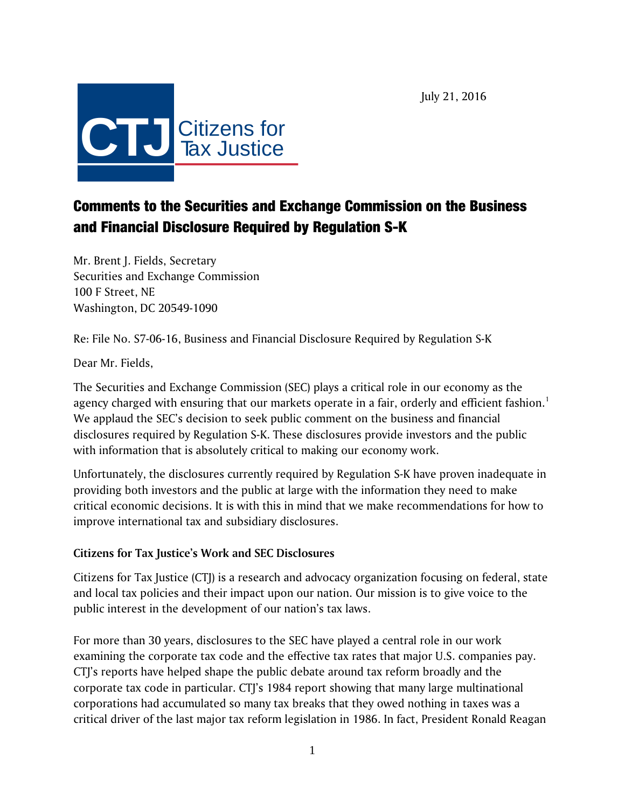July 21, 2016



# Comments to the Securities and Exchange Commission on the Business and Financial Disclosure Required by Regulation S-K

Mr. Brent J. Fields, Secretary Securities and Exchange Commission 100 F Street, NE Washington, DC 20549-1090

Re: File No. S7-06-16, Business and Financial Disclosure Required by Regulation S-K

Dear Mr. Fields,

The Securities and Exchange Commission (SEC) plays a critical role in our economy as the agency charged with ensuring that our markets operate in a fair, orderly and efficient fashion.<sup>1</sup> We applaud the SEC's decision to seek public comment on the business and financial disclosures required by Regulation S-K. These disclosures provide investors and the public with information that is absolutely critical to making our economy work.

Unfortunately, the disclosures currently required by Regulation S-K have proven inadequate in providing both investors and the public at large with the information they need to make critical economic decisions. It is with this in mind that we make recommendations for how to improve international tax and subsidiary disclosures.

## **Citizens for Tax Justice's Work and SEC Disclosures**

Citizens for Tax Justice (CTJ) is a research and advocacy organization focusing on federal, state and local tax policies and their impact upon our nation. Our mission is to give voice to the public interest in the development of our nation's tax laws.

For more than 30 years, disclosures to the SEC have played a central role in our work examining the corporate tax code and the effective tax rates that major U.S. companies pay. CTJ's reports have helped shape the public debate around tax reform broadly and the corporate tax code in particular. CTJ's 1984 report showing that many large multinational corporations had accumulated so many tax breaks that they owed nothing in taxes was a critical driver of the last major tax reform legislation in 1986. In fact, President Ronald Reagan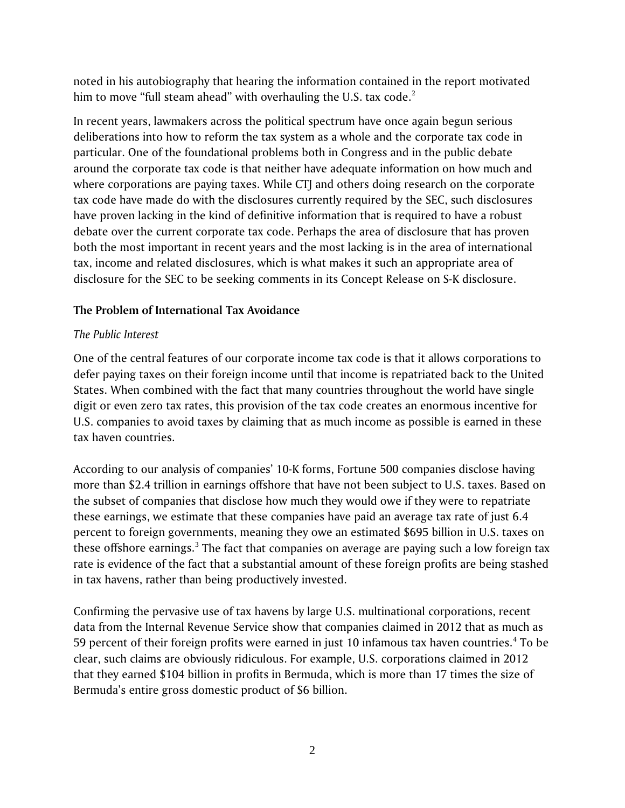noted in his autobiography that hearing the information contained in the report motivated him to move "full steam ahead" with overhauling the U.S. tax code.<sup>2</sup>

In recent years, lawmakers across the political spectrum have once again begun serious deliberations into how to reform the tax system as a whole and the corporate tax code in particular. One of the foundational problems both in Congress and in the public debate around the corporate tax code is that neither have adequate information on how much and where corporations are paying taxes. While CTJ and others doing research on the corporate tax code have made do with the disclosures currently required by the SEC, such disclosures have proven lacking in the kind of definitive information that is required to have a robust debate over the current corporate tax code. Perhaps the area of disclosure that has proven both the most important in recent years and the most lacking is in the area of international tax, income and related disclosures, which is what makes it such an appropriate area of disclosure for the SEC to be seeking comments in its Concept Release on S-K disclosure.

# **The Problem of International Tax Avoidance**

## *The Public Interest*

One of the central features of our corporate income tax code is that it allows corporations to defer paying taxes on their foreign income until that income is repatriated back to the United States. When combined with the fact that many countries throughout the world have single digit or even zero tax rates, this provision of the tax code creates an enormous incentive for U.S. companies to avoid taxes by claiming that as much income as possible is earned in these tax haven countries.

According to our analysis of companies' 10-K forms, Fortune 500 companies disclose having more than \$2.4 trillion in earnings offshore that have not been subject to U.S. taxes. Based on the subset of companies that disclose how much they would owe if they were to repatriate these earnings, we estimate that these companies have paid an average tax rate of just 6.4 percent to foreign governments, meaning they owe an estimated \$695 billion in U.S. taxes on these offshore earnings.<sup>[3](#page-6-2)</sup> The fact that companies on average are paying such a low foreign tax rate is evidence of the fact that a substantial amount of these foreign profits are being stashed in tax havens, rather than being productively invested.

Confirming the pervasive use of tax havens by large U.S. multinational corporations, recent data from the Internal Revenue Service show that companies claimed in 2012 that as much as 59 percent of their foreign profits were earned in just 10 infamous tax haven countries.<sup>[4](#page-6-3)</sup> To be clear, such claims are obviously ridiculous. For example, U.S. corporations claimed in 2012 that they earned \$104 billion in profits in Bermuda, which is more than 17 times the size of Bermuda's entire gross domestic product of \$6 billion.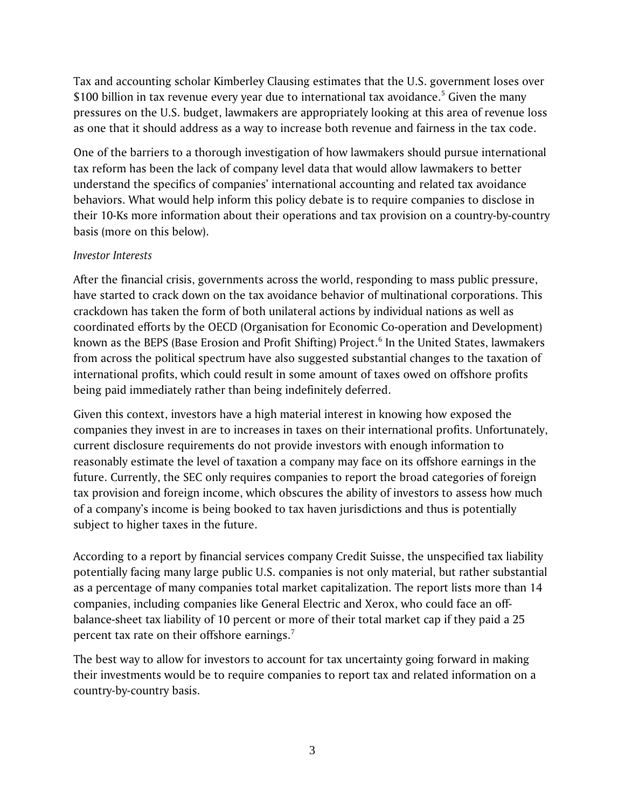Tax and accounting scholar Kimberley Clausing estimates that the U.S. government loses over \$100 billion in tax revenue every year due to international tax avoidance.<sup>5</sup> Given the many pressures on the U.S. budget, lawmakers are appropriately looking at this area of revenue loss as one that it should address as a way to increase both revenue and fairness in the tax code.

One of the barriers to a thorough investigation of how lawmakers should pursue international tax reform has been the lack of company level data that would allow lawmakers to better understand the specifics of companies' international accounting and related tax avoidance behaviors. What would help inform this policy debate is to require companies to disclose in their 10-Ks more information about their operations and tax provision on a country-by-country basis (more on this below).

## *Investor Interests*

After the financial crisis, governments across the world, responding to mass public pressure, have started to crack down on the tax avoidance behavior of multinational corporations. This crackdown has taken the form of both unilateral actions by individual nations as well as coordinated efforts by the OECD (Organisation for Economic Co-operation and Development) known as the BEPS (Base Erosion and Profit Shifting) Project.<sup>[6](#page-6-5)</sup> In the United States, lawmakers from across the political spectrum have also suggested substantial changes to the taxation of international profits, which could result in some amount of taxes owed on offshore profits being paid immediately rather than being indefinitely deferred.

Given this context, investors have a high material interest in knowing how exposed the companies they invest in are to increases in taxes on their international profits. Unfortunately, current disclosure requirements do not provide investors with enough information to reasonably estimate the level of taxation a company may face on its offshore earnings in the future. Currently, the SEC only requires companies to report the broad categories of foreign tax provision and foreign income, which obscures the ability of investors to assess how much of a company's income is being booked to tax haven jurisdictions and thus is potentially subject to higher taxes in the future.

According to a report by financial services company Credit Suisse, the unspecified tax liability potentially facing many large public U.S. companies is not only material, but rather substantial as a percentage of many companies total market capitalization. The report lists more than 14 companies, including companies like General Electric and Xerox, who could face an offbalance-sheet tax liability of 10 percent or more of their total market cap if they paid a 25 percent tax rate on their offshore earnings. $<sup>7</sup>$  $<sup>7</sup>$  $<sup>7</sup>$ </sup>

The best way to allow for investors to account for tax uncertainty going forward in making their investments would be to require companies to report tax and related information on a country-by-country basis.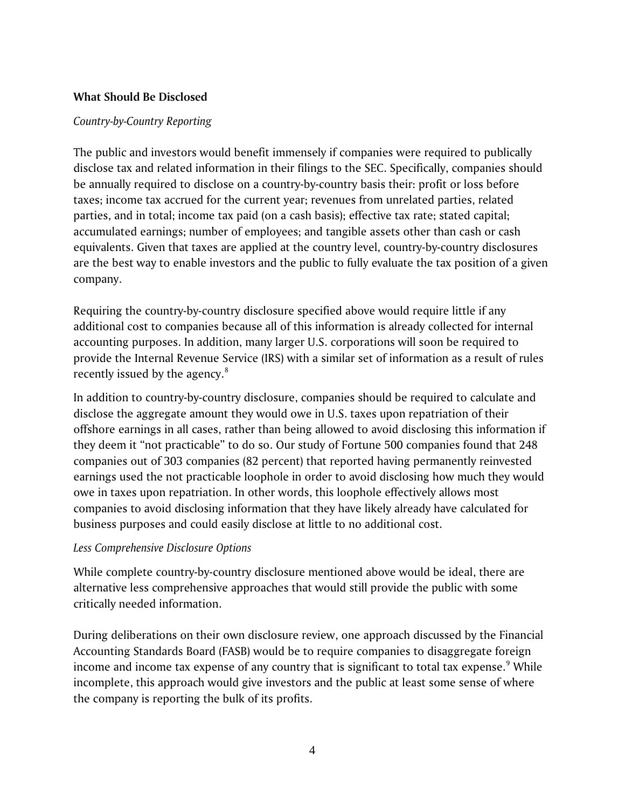#### **What Should Be Disclosed**

#### *Country-by-Country Reporting*

The public and investors would benefit immensely if companies were required to publically disclose tax and related information in their filings to the SEC. Specifically, companies should be annually required to disclose on a country-by-country basis their: profit or loss before taxes; income tax accrued for the current year; revenues from unrelated parties, related parties, and in total; income tax paid (on a cash basis); effective tax rate; stated capital; accumulated earnings; number of employees; and tangible assets other than cash or cash equivalents. Given that taxes are applied at the country level, country-by-country disclosures are the best way to enable investors and the public to fully evaluate the tax position of a given company.

Requiring the country-by-country disclosure specified above would require little if any additional cost to companies because all of this information is already collected for internal accounting purposes. In addition, many larger U.S. corporations will soon be required to provide the Internal Revenue Service (IRS) with a similar set of information as a result of rules recently issued by the agency.<sup>[8](#page-6-7)</sup>

In addition to country-by-country disclosure, companies should be required to calculate and disclose the aggregate amount they would owe in U.S. taxes upon repatriation of their offshore earnings in all cases, rather than being allowed to avoid disclosing this information if they deem it "not practicable" to do so. Our study of Fortune 500 companies found that 248 companies out of 303 companies (82 percent) that reported having permanently reinvested earnings used the not practicable loophole in order to avoid disclosing how much they would owe in taxes upon repatriation. In other words, this loophole effectively allows most companies to avoid disclosing information that they have likely already have calculated for business purposes and could easily disclose at little to no additional cost.

#### *Less Comprehensive Disclosure Options*

While complete country-by-country disclosure mentioned above would be ideal, there are alternative less comprehensive approaches that would still provide the public with some critically needed information.

During deliberations on their own disclosure review, one approach discussed by the Financial Accounting Standards Board (FASB) would be to require companies to disaggregate foreign income and income tax expense of any country that is significant to total tax expense.<sup>[9](#page-6-8)</sup> While incomplete, this approach would give investors and the public at least some sense of where the company is reporting the bulk of its profits.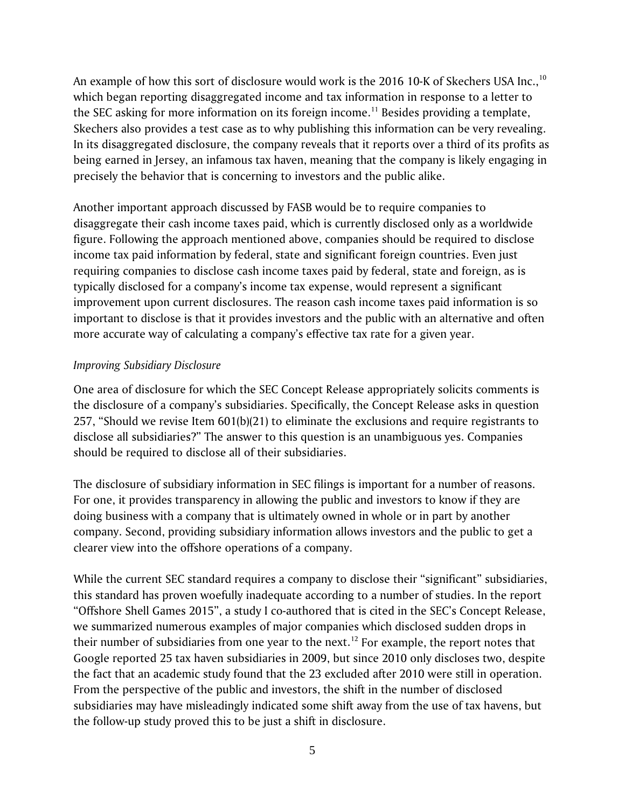An example of how this sort of disclosure would work is the 2016 [10](#page-6-9)-K of Skechers USA Inc.,<sup>10</sup> which began reporting disaggregated income and tax information in response to a letter to the SEC asking for more information on its foreign income.<sup>[11](#page-6-10)</sup> Besides providing a template, Skechers also provides a test case as to why publishing this information can be very revealing. In its disaggregated disclosure, the company reveals that it reports over a third of its profits as being earned in Jersey, an infamous tax haven, meaning that the company is likely engaging in precisely the behavior that is concerning to investors and the public alike.

Another important approach discussed by FASB would be to require companies to disaggregate their cash income taxes paid, which is currently disclosed only as a worldwide figure. Following the approach mentioned above, companies should be required to disclose income tax paid information by federal, state and significant foreign countries. Even just requiring companies to disclose cash income taxes paid by federal, state and foreign, as is typically disclosed for a company's income tax expense, would represent a significant improvement upon current disclosures. The reason cash income taxes paid information is so important to disclose is that it provides investors and the public with an alternative and often more accurate way of calculating a company's effective tax rate for a given year.

## *Improving Subsidiary Disclosure*

One area of disclosure for which the SEC Concept Release appropriately solicits comments is the disclosure of a company's subsidiaries. Specifically, the Concept Release asks in question 257, "Should we revise Item 601(b)(21) to eliminate the exclusions and require registrants to disclose all subsidiaries?" The answer to this question is an unambiguous yes. Companies should be required to disclose all of their subsidiaries.

The disclosure of subsidiary information in SEC filings is important for a number of reasons. For one, it provides transparency in allowing the public and investors to know if they are doing business with a company that is ultimately owned in whole or in part by another company. Second, providing subsidiary information allows investors and the public to get a clearer view into the offshore operations of a company.

While the current SEC standard requires a company to disclose their "significant" subsidiaries, this standard has proven woefully inadequate according to a number of studies. In the report "Offshore Shell Games 2015", a study I co-authored that is cited in the SEC's Concept Release, we summarized numerous examples of major companies which disclosed sudden drops in their number of subsidiaries from one year to the next.<sup>[12](#page-6-11)</sup> For example, the report notes that Google reported 25 tax haven subsidiaries in 2009, but since 2010 only discloses two, despite the fact that an academic study found that the 23 excluded after 2010 were still in operation. From the perspective of the public and investors, the shift in the number of disclosed subsidiaries may have misleadingly indicated some shift away from the use of tax havens, but the follow-up study proved this to be just a shift in disclosure.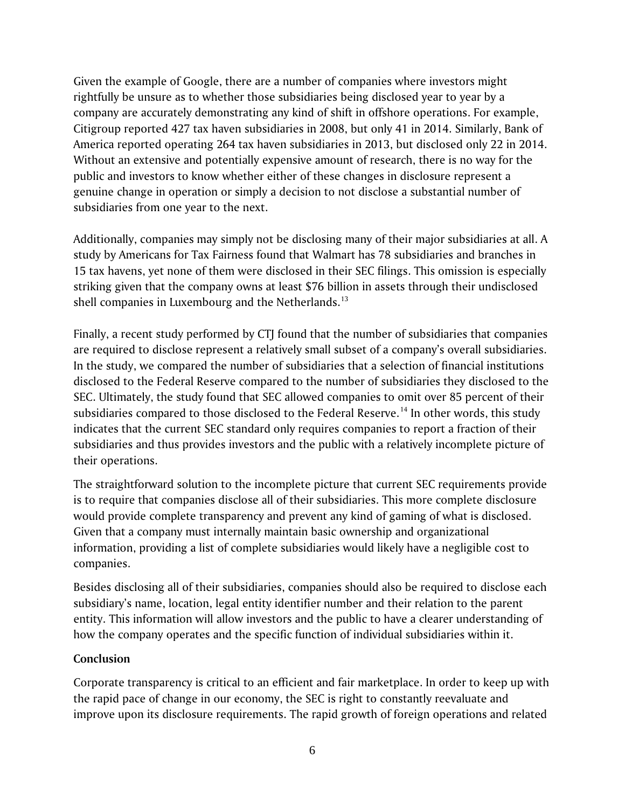Given the example of Google, there are a number of companies where investors might rightfully be unsure as to whether those subsidiaries being disclosed year to year by a company are accurately demonstrating any kind of shift in offshore operations. For example, Citigroup reported 427 tax haven subsidiaries in 2008, but only 41 in 2014. Similarly, Bank of America reported operating 264 tax haven subsidiaries in 2013, but disclosed only 22 in 2014. Without an extensive and potentially expensive amount of research, there is no way for the public and investors to know whether either of these changes in disclosure represent a genuine change in operation or simply a decision to not disclose a substantial number of subsidiaries from one year to the next.

Additionally, companies may simply not be disclosing many of their major subsidiaries at all. A study by Americans for Tax Fairness found that Walmart has 78 subsidiaries and branches in 15 tax havens, yet none of them were disclosed in their SEC filings. This omission is especially striking given that the company owns at least \$76 billion in assets through their undisclosed shell companies in Luxembourg and the Netherlands.<sup>[13](#page-6-12)</sup>

Finally, a recent study performed by CTJ found that the number of subsidiaries that companies are required to disclose represent a relatively small subset of a company's overall subsidiaries. In the study, we compared the number of subsidiaries that a selection of financial institutions disclosed to the Federal Reserve compared to the number of subsidiaries they disclosed to the SEC. Ultimately, the study found that SEC allowed companies to omit over 85 percent of their subsidiaries compared to those disclosed to the Federal Reserve.<sup>[14](#page-6-13)</sup> In other words, this study indicates that the current SEC standard only requires companies to report a fraction of their subsidiaries and thus provides investors and the public with a relatively incomplete picture of their operations.

The straightforward solution to the incomplete picture that current SEC requirements provide is to require that companies disclose all of their subsidiaries. This more complete disclosure would provide complete transparency and prevent any kind of gaming of what is disclosed. Given that a company must internally maintain basic ownership and organizational information, providing a list of complete subsidiaries would likely have a negligible cost to companies.

Besides disclosing all of their subsidiaries, companies should also be required to disclose each subsidiary's name, location, legal entity identifier number and their relation to the parent entity. This information will allow investors and the public to have a clearer understanding of how the company operates and the specific function of individual subsidiaries within it.

## **Conclusion**

Corporate transparency is critical to an efficient and fair marketplace. In order to keep up with the rapid pace of change in our economy, the SEC is right to constantly reevaluate and improve upon its disclosure requirements. The rapid growth of foreign operations and related